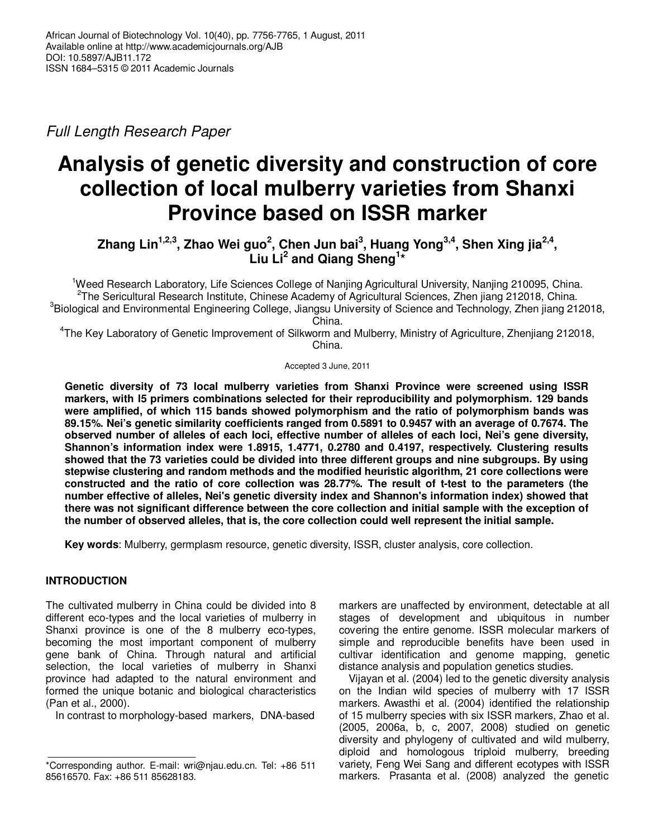Full Length Research Paper

# **Analysis of genetic diversity and construction of core collection of local mulberry varieties from Shanxi Province based on ISSR marker**

**Zhang Lin1,2,3, Zhao Wei guo<sup>2</sup> , Chen Jun bai<sup>3</sup> , Huang Yong3,4, Shen Xing jia2,4 , Liu Li<sup>2</sup> and Qiang Sheng<sup>1</sup> \*** 

<sup>1</sup>Weed Research Laboratory, Life Sciences College of Nanjing Agricultural University, Nanjing 210095, China. <sup>2</sup>The Sericultural Research Institute, Chinese Academy of Agricultural Sciences, Zhen jiang 212018, China. <sup>3</sup>Biological and Environmental Engineering College, Jiangsu University of Science and Technology, Zhen jiang 212018, China.

4 The Key Laboratory of Genetic Improvement of Silkworm and Mulberry, Ministry of Agriculture, Zhenjiang 212018, China.

Accepted 3 June, 2011

**Genetic diversity of 73 local mulberry varieties from Shanxi Province were screened using ISSR markers, with l5 primers combinations selected for their reproducibility and polymorphism. 129 bands were amplified, of which 115 bands showed polymorphism and the ratio of polymorphism bands was 89.15%. Nei's genetic similarity coefficients ranged from 0.5891 to 0.9457 with an average of 0.7674. The observed number of alleles of each loci, effective number of alleles of each loci, Nei's gene diversity, Shannon's information index were 1.8915, 1.4771, 0.2780 and 0.4197, respectively. Clustering results showed that the 73 varieties could be divided into three different groups and nine subgroups. By using stepwise clustering and random methods and the modified heuristic algorithm, 21 core collections were constructed and the ratio of core collection was 28.77%. The result of t-test to the parameters (the number effective of alleles, Nei's genetic diversity index and Shannon's information index) showed that there was not significant difference between the core collection and initial sample with the exception of the number of observed alleles, that is, the core collection could well represent the initial sample.** 

**Key words**: Mulberry, germplasm resource, genetic diversity, ISSR, cluster analysis, core collection.

# **INTRODUCTION**

The cultivated mulberry in China could be divided into 8 different eco-types and the local varieties of mulberry in Shanxi province is one of the 8 mulberry eco-types, becoming the most important component of mulberry gene bank of China. Through natural and artificial selection, the local varieties of mulberry in Shanxi province had adapted to the natural environment and formed the unique botanic and biological characteristics (Pan et al., 2000).

In contrast to morphology-based markers, DNA-based

markers are unaffected by environment, detectable at all stages of development and ubiquitous in number covering the entire genome. ISSR molecular markers of simple and reproducible benefits have been used in cultivar identification and genome mapping, genetic distance analysis and population genetics studies.

Vijayan et al. (2004) led to the genetic diversity analysis on the Indian wild species of mulberry with 17 ISSR markers. Awasthi et al. (2004) identified the relationship of 15 mulberry species with six ISSR markers, Zhao et al. (2005, 2006a, b, c, 2007, 2008) studied on genetic diversity and phylogeny of cultivated and wild mulberry, diploid and homologous triploid mulberry, breeding variety, Feng Wei Sang and different ecotypes with ISSR markers. Prasanta et al. (2008) analyzed the genetic

<sup>\*</sup>Corresponding author. E-mail: wri@njau.edu.cn. Tel: +86 511 85616570. Fax: +86 511 85628183.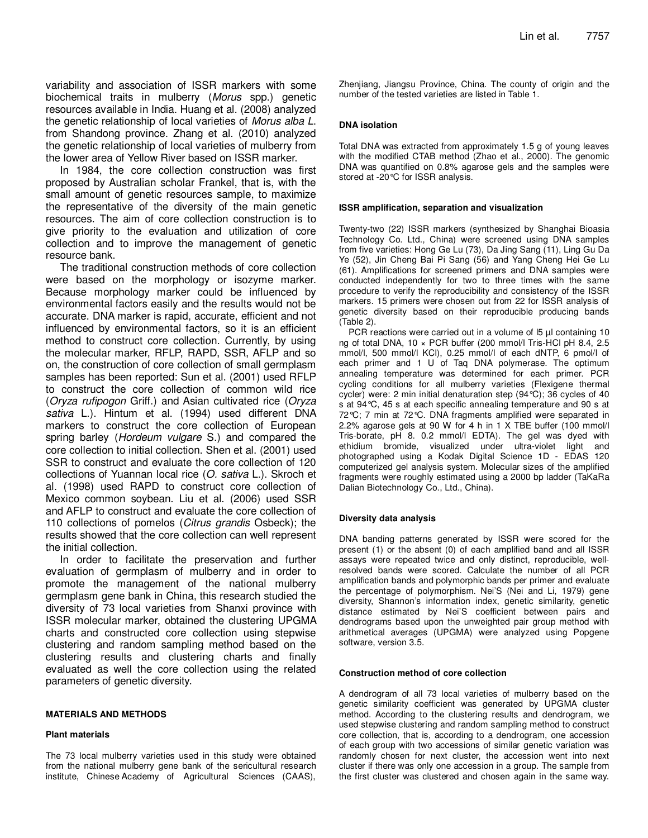variability and association of ISSR markers with some biochemical traits in mulberry (Morus spp.) genetic resources available in India. Huang et al. (2008) analyzed the genetic relationship of local varieties of Morus alba L. from Shandong province. Zhang et al. (2010) analyzed the genetic relationship of local varieties of mulberry from the lower area of Yellow River based on ISSR marker.

In 1984, the core collection construction was first proposed by Australian scholar Frankel, that is, with the small amount of genetic resources sample, to maximize the representative of the diversity of the main genetic resources. The aim of core collection construction is to give priority to the evaluation and utilization of core collection and to improve the management of genetic resource bank.

The traditional construction methods of core collection were based on the morphology or isozyme marker. Because morphology marker could be influenced by environmental factors easily and the results would not be accurate. DNA marker is rapid, accurate, efficient and not influenced by environmental factors, so it is an efficient method to construct core collection. Currently, by using the molecular marker, RFLP, RAPD, SSR, AFLP and so on, the construction of core collection of small germplasm samples has been reported: Sun et al. (2001) used RFLP to construct the core collection of common wild rice (Oryza rufipogon Griff.) and Asian cultivated rice (Oryza sativa L.). Hintum et al. (1994) used different DNA markers to construct the core collection of European spring barley (*Hordeum vulgare S.*) and compared the core collection to initial collection. Shen et al. (2001) used SSR to construct and evaluate the core collection of 120 collections of Yuannan local rice (O. sativa L.). Skroch et al. (1998) used RAPD to construct core collection of Mexico common soybean. Liu et al. (2006) used SSR and AFLP to construct and evaluate the core collection of 110 collections of pomelos (Citrus grandis Osbeck); the results showed that the core collection can well represent the initial collection.

In order to facilitate the preservation and further evaluation of germplasm of mulberry and in order to promote the management of the national mulberry germplasm gene bank in China, this research studied the diversity of 73 local varieties from Shanxi province with ISSR molecular marker, obtained the clustering UPGMA charts and constructed core collection using stepwise clustering and random sampling method based on the clustering results and clustering charts and finally evaluated as well the core collection using the related parameters of genetic diversity.

#### **MATERIALS AND METHODS**

#### **Plant materials**

The 73 local mulberry varieties used in this study were obtained from the national mulberry gene bank of the sericultural research institute, Chinese Academy of Agricultural Sciences (CAAS),

Zhenjiang, Jiangsu Province, China. The county of origin and the number of the tested varieties are listed in Table 1.

### **DNA isolation**

Total DNA was extracted from approximately 1.5 g of young leaves with the modified CTAB method (Zhao et al., 2000). The genomic DNA was quantified on 0.8% agarose gels and the samples were stored at -20°C for ISSR analysis.

#### **ISSR amplification, separation and visualization**

Twenty-two (22) ISSR markers (synthesized by Shanghai Bioasia Technology Co. Ltd., China) were screened using DNA samples from five varieties: Hong Ge Lu (73), Da Jing Sang (11), Ling Gu Da Ye (52), Jin Cheng Bai Pi Sang (56) and Yang Cheng Hei Ge Lu (61). Amplifications for screened primers and DNA samples were conducted independently for two to three times with the same procedure to verify the reproducibility and consistency of the ISSR markers. 15 primers were chosen out from 22 for ISSR analysis of genetic diversity based on their reproducible producing bands (Table 2).

PCR reactions were carried out in a volume of 15 µl containing 10 ng of total DNA, 10 × PCR buffer (200 mmol/l Tris-HCl pH 8.4, 2.5 mmol/l, 500 mmol/l KCl), 0.25 mmol/l of each dNTP, 6 pmol/l of each primer and 1 U of Taq DNA polymerase. The optimum annealing temperature was determined for each primer. PCR cycling conditions for all mulberry varieties (Flexigene thermal cycler) were: 2 min initial denaturation step (94°C); 36 cycles of 40 s at 94°C, 45 s at each specific annealing temperature and 90 s at 72°C; 7 min at 72°C. DNA fragments amplified were separated in 2.2% agarose gels at 90 W for 4 h in 1 X TBE buffer (100 mmol/l Tris-borate, pH 8. 0.2 mmol/l EDTA). The gel was dyed with ethidium bromide, visualized under ultra-violet light and photographed using a Kodak Digital Science 1D - EDAS 120 computerized gel analysis system. Molecular sizes of the amplified fragments were roughly estimated using a 2000 bp ladder (TaKaRa Dalian Biotechnology Co., Ltd., China).

#### **Diversity data analysis**

DNA banding patterns generated by ISSR were scored for the present (1) or the absent (0) of each amplified band and all ISSR assays were repeated twice and only distinct, reproducible, wellresolved bands were scored. Calculate the number of all PCR amplification bands and polymorphic bands per primer and evaluate the percentage of polymorphism. Nei'S (Nei and Li, 1979) gene diversity, Shannon's information index, genetic similarity, genetic distance estimated by Nei'S coefficient between pairs and dendrograms based upon the unweighted pair group method with arithmetical averages (UPGMA) were analyzed using Popgene software, version 3.5.

#### **Construction method of core collection**

A dendrogram of all 73 local varieties of mulberry based on the genetic similarity coefficient was generated by UPGMA cluster method. According to the clustering results and dendrogram, we used stepwise clustering and random sampling method to construct core collection, that is, according to a dendrogram, one accession of each group with two accessions of similar genetic variation was randomly chosen for next cluster, the accession went into next cluster if there was only one accession in a group. The sample from the first cluster was clustered and chosen again in the same way.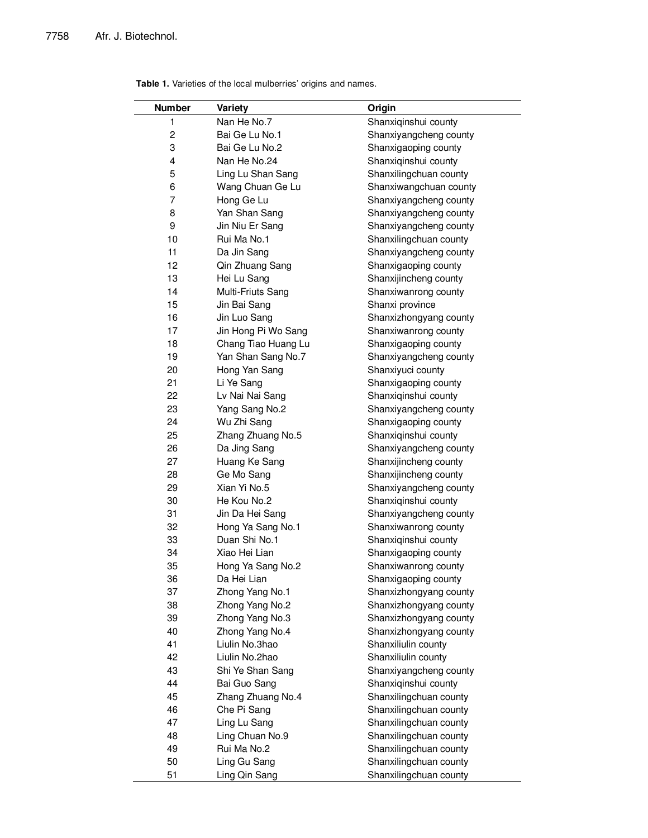| <b>Number</b>  | Variety             | Origin                 |
|----------------|---------------------|------------------------|
| 1              | Nan He No.7         | Shanxiqinshui county   |
| 2              | Bai Ge Lu No.1      | Shanxiyangcheng county |
| 3              | Bai Ge Lu No.2      | Shanxigaoping county   |
| 4              | Nan He No.24        | Shanxiqinshui county   |
| 5              | Ling Lu Shan Sang   | Shanxilingchuan county |
| 6              | Wang Chuan Ge Lu    |                        |
|                |                     | Shanxiwangchuan county |
| $\overline{7}$ | Hong Ge Lu          | Shanxiyangcheng county |
| 8              | Yan Shan Sang       | Shanxiyangcheng county |
| 9              | Jin Niu Er Sang     | Shanxiyangcheng county |
| 10             | Rui Ma No.1         | Shanxilingchuan county |
| 11             | Da Jin Sang         | Shanxiyangcheng county |
| 12             | Qin Zhuang Sang     | Shanxigaoping county   |
| 13             | Hei Lu Sang         | Shanxijincheng county  |
| 14             | Multi-Friuts Sang   | Shanxiwanrong county   |
| 15             | Jin Bai Sang        | Shanxi province        |
| 16             | Jin Luo Sang        | Shanxizhongyang county |
| 17             | Jin Hong Pi Wo Sang | Shanxiwanrong county   |
| 18             | Chang Tiao Huang Lu | Shanxigaoping county   |
| 19             | Yan Shan Sang No.7  | Shanxiyangcheng county |
| 20             | Hong Yan Sang       | Shanxiyuci county      |
| 21             | Li Ye Sang          | Shanxigaoping county   |
| 22             | Lv Nai Nai Sang     | Shanxiqinshui county   |
| 23             | Yang Sang No.2      | Shanxiyangcheng county |
| 24             | Wu Zhi Sang         | Shanxigaoping county   |
| 25             | Zhang Zhuang No.5   | Shanxiqinshui county   |
| 26             | Da Jing Sang        | Shanxiyangcheng county |
| 27             | Huang Ke Sang       | Shanxijincheng county  |
| 28             | Ge Mo Sang          | Shanxijincheng county  |
| 29             | Xian Yi No.5        | Shanxiyangcheng county |
| 30             | He Kou No.2         | Shanxiqinshui county   |
| 31             | Jin Da Hei Sang     | Shanxiyangcheng county |
| 32             | Hong Ya Sang No.1   | Shanxiwanrong county   |
| 33             | Duan Shi No.1       | Shanxiqinshui county   |
| 34             | Xiao Hei Lian       | Shanxigaoping county   |
| 35             | Hong Ya Sang No.2   | Shanxiwanrong county   |
| 36             | Da Hei Lian         | Shanxigaoping county   |
| 37             | Zhong Yang No.1     | Shanxizhongyang county |
| 38             | Zhong Yang No.2     | Shanxizhongyang county |
| 39             | Zhong Yang No.3     | Shanxizhongyang county |
| 40             | Zhong Yang No.4     | Shanxizhongyang county |
| 41             | Liulin No.3hao      | Shanxiliulin county    |
| 42             | Liulin No.2hao      | Shanxiliulin county    |
| 43             | Shi Ye Shan Sang    | Shanxiyangcheng county |
| 44             | Bai Guo Sang        | Shanxiqinshui county   |
| 45             | Zhang Zhuang No.4   | Shanxilingchuan county |
|                |                     |                        |
| 46             | Che Pi Sang         | Shanxilingchuan county |
| 47             | Ling Lu Sang        | Shanxilingchuan county |
| 48             | Ling Chuan No.9     | Shanxilingchuan county |
| 49             | Rui Ma No.2         | Shanxilingchuan county |
| 50             | Ling Gu Sang        | Shanxilingchuan county |
| 51             | Ling Qin Sang       | Shanxilingchuan county |

|  |  |  | Table 1. Varieties of the local mulberries' origins and names. |
|--|--|--|----------------------------------------------------------------|
|  |  |  |                                                                |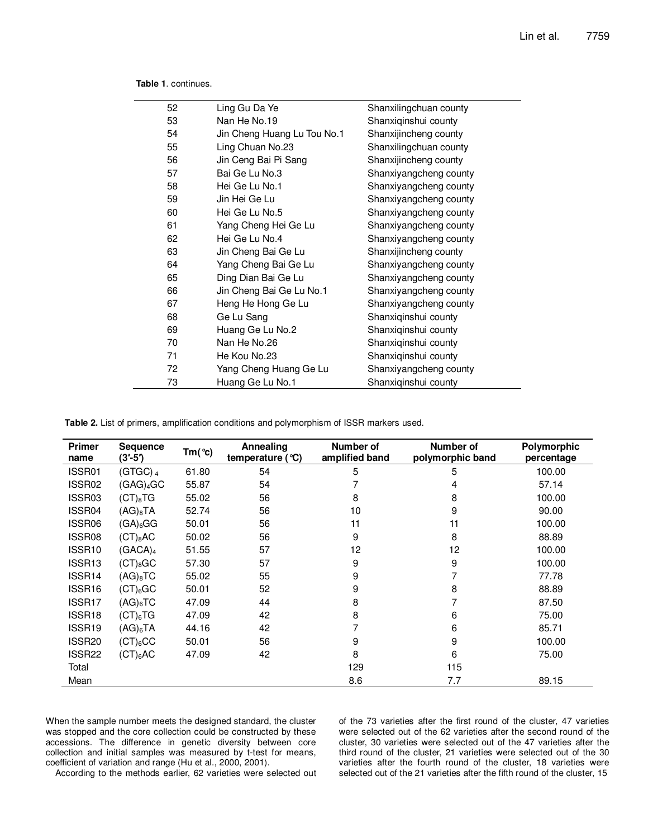| Ling Gu Da Ye               | Shanxilingchuan county |
|-----------------------------|------------------------|
| Nan He No.19                | Shanxiqinshui county   |
| Jin Cheng Huang Lu Tou No.1 | Shanxijincheng county  |
| Ling Chuan No.23            | Shanxilingchuan county |
| Jin Ceng Bai Pi Sang        | Shanxijincheng county  |
| Bai Ge Lu No.3              | Shanxiyangcheng county |
| Hei Ge Lu No.1              | Shanxiyangcheng county |
| Jin Hei Ge Lu               | Shanxiyangcheng county |
| Hei Ge Lu No.5              | Shanxiyangcheng county |
| Yang Cheng Hei Ge Lu        | Shanxiyangcheng county |
| Hei Ge Lu No.4              | Shanxiyangcheng county |
| Jin Cheng Bai Ge Lu         | Shanxijincheng county  |
| Yang Cheng Bai Ge Lu        | Shanxiyangcheng county |
| Ding Dian Bai Ge Lu         | Shanxiyangcheng county |
| Jin Cheng Bai Ge Lu No.1    | Shanxiyangcheng county |
| Heng He Hong Ge Lu          | Shanxiyangcheng county |
| Ge Lu Sang                  | Shanxiqinshui county   |
| Huang Ge Lu No.2            | Shanxiqinshui county   |
| Nan He No.26                | Shanxiqinshui county   |
| He Kou No.23                | Shanxiqinshui county   |
| Yang Cheng Huang Ge Lu      | Shanxiyangcheng county |
| Huang Ge Lu No.1            | Shanxiqinshui county   |
|                             |                        |

**Table 1**. continues.

**Table 2.** List of primers, amplification conditions and polymorphism of ISSR markers used.

| <b>Primer</b><br>name | <b>Sequence</b><br>$(3' - 5')$ | $Tm$ ( $^{\circ}$ c) | Annealing<br>temperature $(°C)$ | Number of<br>amplified band | Number of<br>polymorphic band | Polymorphic<br>percentage |
|-----------------------|--------------------------------|----------------------|---------------------------------|-----------------------------|-------------------------------|---------------------------|
| ISSR01                | (GTGC) $_4$                    | 61.80                | 54                              | 5                           | 5                             | 100.00                    |
| ISSR02                | (GAG) <sub>4</sub> GC          | 55.87                | 54                              | 7                           | 4                             | 57.14                     |
| ISSR03                | $(CT)_{8}TG$                   | 55.02                | 56                              | 8                           | 8                             | 100.00                    |
| ISSR04                | $(AG)_{8}TA$                   | 52.74                | 56                              | 10                          | 9                             | 90.00                     |
| ISSR06                | $(GA)_6GG$                     | 50.01                | 56                              | 11                          | 11                            | 100.00                    |
| ISSR08                | $(CT)_{8}AC$                   | 50.02                | 56                              | 9                           | 8                             | 88.89                     |
| ISSR <sub>10</sub>    | (GACA) <sub>4</sub>            | 51.55                | 57                              | 12                          | 12                            | 100.00                    |
| ISSR <sub>13</sub>    | $(CT)_{8}GC$                   | 57.30                | 57                              | 9                           | 9                             | 100.00                    |
| ISSR14                | $(AG)_{8}TC$                   | 55.02                | 55                              | 9                           |                               | 77.78                     |
| ISSR16                | (CT) <sub>6</sub> GC           | 50.01                | 52                              | 9                           | 8                             | 88.89                     |
| ISSR17                | $(AG)_{6}TC$                   | 47.09                | 44                              | 8                           |                               | 87.50                     |
| ISSR18                | (CT) <sub>6</sub> TG           | 47.09                | 42                              | 8                           | 6                             | 75.00                     |
| ISSR19                | $(AG)_{6}TA$                   | 44.16                | 42                              |                             | 6                             | 85.71                     |
| ISSR <sub>20</sub>    | $(CT)_6CC$                     | 50.01                | 56                              | 9                           | 9                             | 100.00                    |
| ISSR <sub>22</sub>    | (CT) <sub>6</sub> AC           | 47.09                | 42                              | 8                           | 6                             | 75.00                     |
| Total                 |                                |                      |                                 | 129                         | 115                           |                           |
| Mean                  |                                |                      |                                 | 8.6                         | 7.7                           | 89.15                     |

When the sample number meets the designed standard, the cluster was stopped and the core collection could be constructed by these accessions. The difference in genetic diversity between core collection and initial samples was measured by t-test for means, coefficient of variation and range (Hu et al., 2000, 2001).

of the 73 varieties after the first round of the cluster, 47 varieties were selected out of the 62 varieties after the second round of the cluster, 30 varieties were selected out of the 47 varieties after the third round of the cluster, 21 varieties were selected out of the 30 varieties after the fourth round of the cluster, 18 varieties were selected out of the 21 varieties after the fifth round of the cluster, 15

According to the methods earlier, 62 varieties were selected out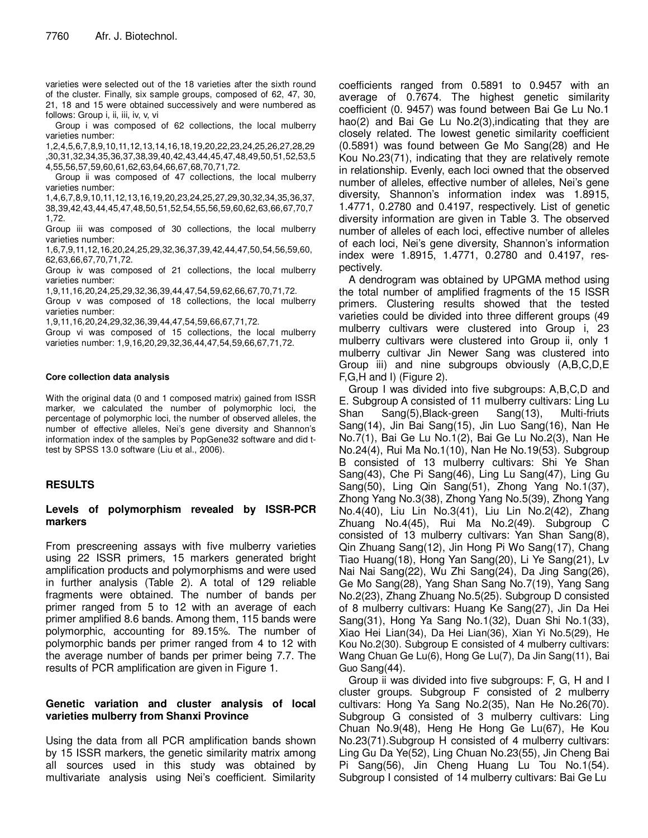varieties were selected out of the 18 varieties after the sixth round of the cluster. Finally, six sample groups, composed of 62, 47, 30, 21, 18 and 15 were obtained successively and were numbered as follows: Group i, ii, iii, iv, v, vi

Group i was composed of 62 collections, the local mulberry varieties number:

1,2,4,5,6,7,8,9,10,11,12,13,14,16,18,19,20,22,23,24,25,26,27,28,29 ,30,31,32,34,35,36,37,38,39,40,42,43,44,45,47,48,49,50,51,52,53,5 4,55,56,57,59,60,61,62,63,64,66,67,68,70,71,72.

Group ii was composed of 47 collections, the local mulberry varieties number:

1,4,6,7,8,9,10,11,12,13,16,19,20,23,24,25,27,29,30,32,34,35,36,37, 38,39,42,43,44,45,47,48,50,51,52,54,55,56,59,60,62,63,66,67,70,7 1,72.

Group iii was composed of 30 collections, the local mulberry varieties number:

1,6,7,9,11,12,16,20,24,25,29,32,36,37,39,42,44,47,50,54,56,59,60, 62,63,66,67,70,71,72.

Group iv was composed of 21 collections, the local mulberry varieties number:

1,9,11,16,20,24,25,29,32,36,39,44,47,54,59,62,66,67,70,71,72.

Group v was composed of 18 collections, the local mulberry varieties number:

1,9,11,16,20,24,29,32,36,39,44,47,54,59,66,67,71,72.

Group vi was composed of 15 collections, the local mulberry varieties number: 1,9,16,20,29,32,36,44,47,54,59,66,67,71,72.

## **Core collection data analysis**

With the original data (0 and 1 composed matrix) gained from ISSR marker, we calculated the number of polymorphic loci, the percentage of polymorphic loci, the number of observed alleles, the number of effective alleles, Nei's gene diversity and Shannon's information index of the samples by PopGene32 software and did ttest by SPSS 13.0 software (Liu et al., 2006).

## **RESULTS**

## **Levels of polymorphism revealed by ISSR-PCR markers**

From prescreening assays with five mulberry varieties using 22 ISSR primers, 15 markers generated bright amplification products and polymorphisms and were used in further analysis (Table 2). A total of 129 reliable fragments were obtained. The number of bands per primer ranged from 5 to 12 with an average of each primer amplified 8.6 bands. Among them, 115 bands were polymorphic, accounting for 89.15%. The number of polymorphic bands per primer ranged from 4 to 12 with the average number of bands per primer being 7.7. The results of PCR amplification are given in Figure 1.

# **Genetic variation and cluster analysis of local varieties mulberry from Shanxi Province**

Using the data from all PCR amplification bands shown by 15 ISSR markers, the genetic similarity matrix among all sources used in this study was obtained by multivariate analysis using Nei's coefficient. Similarity

coefficients ranged from 0.5891 to 0.9457 with an average of 0.7674. The highest genetic similarity coefficient (0. 9457) was found between Bai Ge Lu No.1 hao(2) and Bai Ge Lu No.2(3), indicating that they are closely related. The lowest genetic similarity coefficient (0.5891) was found between Ge Mo Sang(28) and He Kou No.23(71), indicating that they are relatively remote in relationship. Evenly, each loci owned that the observed number of alleles, effective number of alleles, Nei's gene diversity, Shannon's information index was 1.8915, 1.4771, 0.2780 and 0.4197, respectively. List of genetic diversity information are given in Table 3. The observed number of alleles of each loci, effective number of alleles of each loci, Nei's gene diversity, Shannon's information index were 1.8915, 1.4771, 0.2780 and 0.4197, respectively.

A dendrogram was obtained by UPGMA method using the total number of amplified fragments of the 15 ISSR primers. Clustering results showed that the tested varieties could be divided into three different groups (49 mulberry cultivars were clustered into Group i, 23 mulberry cultivars were clustered into Group ii, only 1 mulberry cultivar Jin Newer Sang was clustered into Group iii) and nine subgroups obviously (A,B,C,D,E F,G,H and I) (Figure 2).

Group I was divided into five subgroups: A,B,C,D and E. Subgroup A consisted of 11 mulberry cultivars: Ling Lu Shan Sang(5),Black-green Sang(13), Multi-friuts Sang(14), Jin Bai Sang(15), Jin Luo Sang(16), Nan He No.7(1), Bai Ge Lu No.1(2), Bai Ge Lu No.2(3), Nan He No.24(4), Rui Ma No.1(10), Nan He No.19(53). Subgroup B consisted of 13 mulberry cultivars: Shi Ye Shan Sang(43), Che Pi Sang(46), Ling Lu Sang(47), Ling Gu Sang(50), Ling Qin Sang(51), Zhong Yang No.1(37), Zhong Yang No.3(38), Zhong Yang No.5(39), Zhong Yang No.4(40), Liu Lin No.3(41), Liu Lin No.2(42), Zhang Zhuang No.4(45), Rui Ma No.2(49). Subgroup C consisted of 13 mulberry cultivars: Yan Shan Sang(8), Qin Zhuang Sang(12), Jin Hong Pi Wo Sang(17), Chang Tiao Huang(18), Hong Yan Sang(20), Li Ye Sang(21), Lv Nai Nai Sang(22), Wu Zhi Sang(24), Da Jing Sang(26), Ge Mo Sang(28), Yang Shan Sang No.7(19), Yang Sang No.2(23), Zhang Zhuang No.5(25). Subgroup D consisted of 8 mulberry cultivars: Huang Ke Sang(27), Jin Da Hei Sang(31), Hong Ya Sang No.1(32), Duan Shi No.1(33), Xiao Hei Lian(34), Da Hei Lian(36), Xian Yi No.5(29), He Kou No.2(30). Subgroup E consisted of 4 mulberry cultivars: Wang Chuan Ge Lu(6), Hong Ge Lu(7), Da Jin Sang(11), Bai Guo Sang(44).

Group ii was divided into five subgroups: F, G, H and I cluster groups. Subgroup F consisted of 2 mulberry cultivars: Hong Ya Sang No.2(35), Nan He No.26(70). Subgroup G consisted of 3 mulberry cultivars: Ling Chuan No.9(48), Heng He Hong Ge Lu(67), He Kou No.23(71).Subgroup H consisted of 4 mulberry cultivars: Ling Gu Da Ye(52), Ling Chuan No.23(55), Jin Cheng Bai Pi Sang(56), Jin Cheng Huang Lu Tou No.1(54). Subgroup I consisted of 14 mulberry cultivars: Bai Ge Lu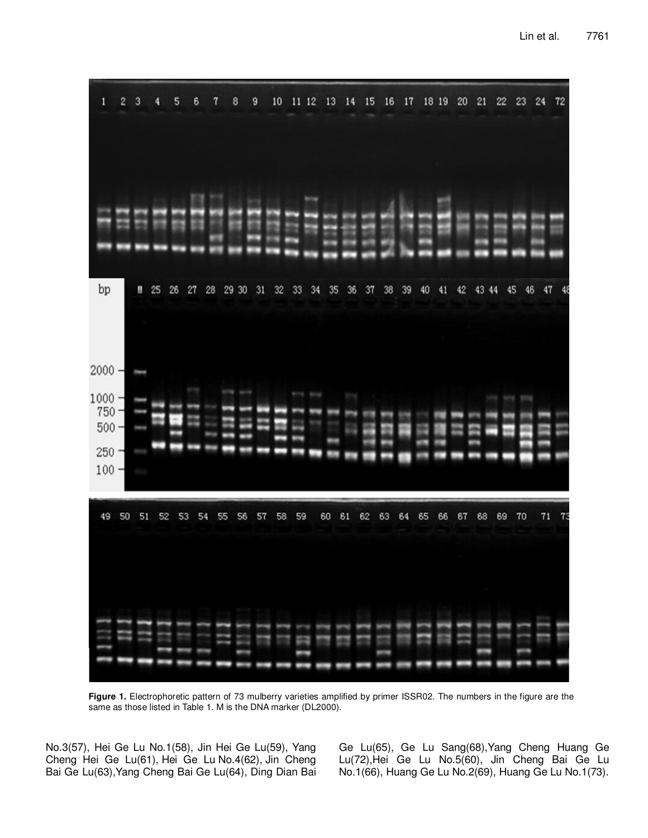| 1                                                                | 2  | з  |    | 5  | 6  | 7  | 8     | 9  |    | 10 | 11 12 |    | 13 | 14 | 15 | 16 | 17 |    | 18 19 | 20 | 21 | 22    |    | 23 | 24 | 72 |
|------------------------------------------------------------------|----|----|----|----|----|----|-------|----|----|----|-------|----|----|----|----|----|----|----|-------|----|----|-------|----|----|----|----|
|                                                                  |    |    |    |    |    |    |       |    |    |    |       |    |    |    |    |    |    |    |       |    |    |       |    |    |    |    |
|                                                                  |    |    |    |    |    |    |       |    |    |    |       |    |    |    |    |    |    |    |       |    |    |       |    |    |    |    |
| bp                                                               |    | W  | 25 | 26 | 27 | 28 | 29 30 |    | 31 | 32 | 33    | 34 | 35 | 36 | 37 | 38 | 39 | 40 | 41    | 42 |    | 43 44 | 45 | 46 |    |    |
| $2000 -$<br>$1000 -$<br>$750 -$<br>$500 -$<br>$250 -$<br>$100 -$ |    |    |    |    |    |    |       |    |    |    |       |    |    |    |    |    |    |    |       |    |    |       |    |    |    |    |
| 49                                                               | 50 | 51 | 52 | 53 | 54 |    | 55    | 56 | 57 | 58 | 59    |    | 60 | 61 | 62 | 63 | 64 | 65 | 66    | 67 | 68 | 69    |    | 70 | 71 | 73 |
|                                                                  |    |    |    |    |    |    |       |    |    |    |       |    |    |    |    |    |    |    |       |    |    |       |    |    |    |    |

**Figure 1.** Electrophoretic pattern of 73 mulberry varieties amplified by primer ISSR02. The numbers in the figure are the same as those listed in Table 1. M is the DNA marker (DL2000).

No.3(57), Hei Ge Lu No.1(58), Jin Hei Ge Lu(59), Yang Cheng Hei Ge Lu(61), Hei Ge Lu No.4(62), Jin Cheng Bai Ge Lu(63),Yang Cheng Bai Ge Lu(64), Ding Dian Bai Ge Lu(65), Ge Lu Sang(68),Yang Cheng Huang Ge Lu(72),Hei Ge Lu No.5(60), Jin Cheng Bai Ge Lu No.1(66), Huang Ge Lu No.2(69), Huang Ge Lu No.1(73).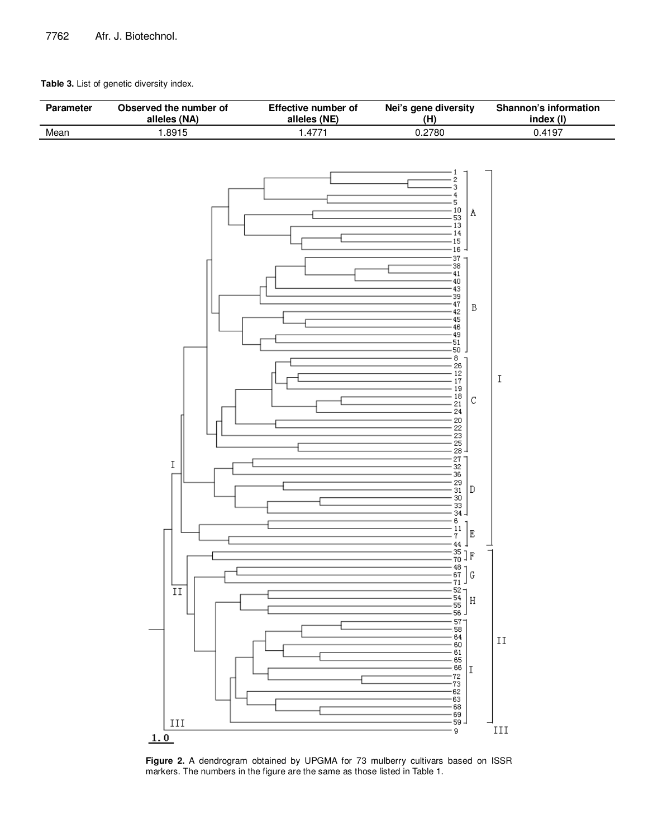## **Table 3.** List of genetic diversity index.



**Figure 2.** A dendrogram obtained by UPGMA for 73 mulberry cultivars based on ISSR markers. The numbers in the figure are the same as those listed in Table 1.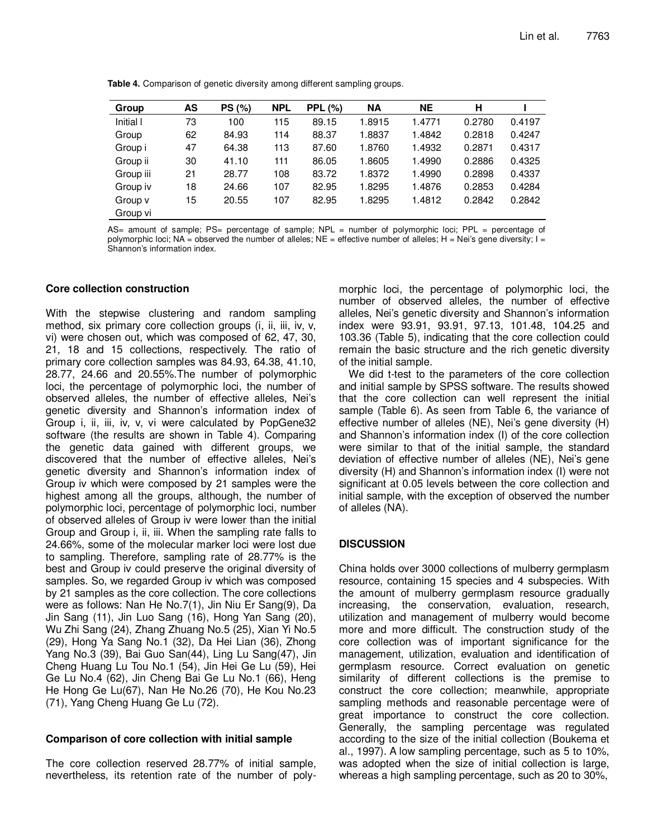**Table 4.** Comparison of genetic diversity among different sampling groups.

| Group     | AS | <b>PS (%)</b> | <b>NPL</b> | <b>PPL (%)</b> | <b>NA</b> | <b>NE</b> | н      |        |
|-----------|----|---------------|------------|----------------|-----------|-----------|--------|--------|
| Initial I | 73 | 100           | 115        | 89.15          | 1.8915    | 1.4771    | 0.2780 | 0.4197 |
| Group     | 62 | 84.93         | 114        | 88.37          | 1.8837    | 1.4842    | 0.2818 | 0.4247 |
| Group i   | 47 | 64.38         | 113        | 87.60          | 1.8760    | 1.4932    | 0.2871 | 0.4317 |
| Group ii  | 30 | 41.10         | 111        | 86.05          | 1.8605    | 1.4990    | 0.2886 | 0.4325 |
| Group iii | 21 | 28.77         | 108        | 83.72          | 1.8372    | 1.4990    | 0.2898 | 0.4337 |
| Group iv  | 18 | 24.66         | 107        | 82.95          | 1.8295    | 1.4876    | 0.2853 | 0.4284 |
| Group v   | 15 | 20.55         | 107        | 82.95          | 1.8295    | 1.4812    | 0.2842 | 0.2842 |
| Group vi  |    |               |            |                |           |           |        |        |

AS= amount of sample; PS= percentage of sample; NPL = number of polymorphic loci; PPL = percentage of polymorphic loci; NA = observed the number of alleles; NE = effective number of alleles; H = Nei's gene diversity;  $I =$ Shannon's information index.

## **Core collection construction**

With the stepwise clustering and random sampling method, six primary core collection groups (i, ii, iii, iv, v, vi) were chosen out, which was composed of 62, 47, 30, 21, 18 and 15 collections, respectively. The ratio of primary core collection samples was 84.93, 64.38, 41.10, 28.77, 24.66 and 20.55%.The number of polymorphic loci, the percentage of polymorphic loci, the number of observed alleles, the number of effective alleles, Nei's genetic diversity and Shannon's information index of Group i, ii, iii, iv, v, vi were calculated by PopGene32 software (the results are shown in Table 4). Comparing the genetic data gained with different groups, we discovered that the number of effective alleles, Nei's genetic diversity and Shannon's information index of Group iv which were composed by 21 samples were the highest among all the groups, although, the number of polymorphic loci, percentage of polymorphic loci, number of observed alleles of Group iv were lower than the initial Group and Group i, ii, iii. When the sampling rate falls to 24.66%, some of the molecular marker loci were lost due to sampling. Therefore, sampling rate of 28.77% is the best and Group iv could preserve the original diversity of samples. So, we regarded Group iv which was composed by 21 samples as the core collection. The core collections were as follows: Nan He No.7(1), Jin Niu Er Sang(9), Da Jin Sang (11), Jin Luo Sang (16), Hong Yan Sang (20), Wu Zhi Sang (24), Zhang Zhuang No.5 (25), Xian Yi No.5 (29), Hong Ya Sang No.1 (32), Da Hei Lian (36), Zhong Yang No.3 (39), Bai Guo San(44), Ling Lu Sang(47), Jin Cheng Huang Lu Tou No.1 (54), Jin Hei Ge Lu (59), Hei Ge Lu No.4 (62), Jin Cheng Bai Ge Lu No.1 (66), Heng He Hong Ge Lu(67), Nan He No.26 (70), He Kou No.23 (71), Yang Cheng Huang Ge Lu (72).

## **Comparison of core collection with initial sample**

The core collection reserved 28.77% of initial sample, nevertheless, its retention rate of the number of poly-

morphic loci, the percentage of polymorphic loci, the number of observed alleles, the number of effective alleles, Nei's genetic diversity and Shannon's information index were 93.91, 93.91, 97.13, 101.48, 104.25 and 103.36 (Table 5), indicating that the core collection could remain the basic structure and the rich genetic diversity of the initial sample.

We did t-test to the parameters of the core collection and initial sample by SPSS software. The results showed that the core collection can well represent the initial sample (Table 6). As seen from Table 6, the variance of effective number of alleles (NE), Nei's gene diversity (H) and Shannon's information index (I) of the core collection were similar to that of the initial sample, the standard deviation of effective number of alleles (NE), Nei's gene diversity (H) and Shannon's information index (I) were not significant at 0.05 levels between the core collection and initial sample, with the exception of observed the number of alleles (NA).

# **DISCUSSION**

China holds over 3000 collections of mulberry germplasm resource, containing 15 species and 4 subspecies. With the amount of mulberry germplasm resource gradually increasing, the conservation, evaluation, research, utilization and management of mulberry would become more and more difficult. The construction study of the core collection was of important significance for the management, utilization, evaluation and identification of germplasm resource. Correct evaluation on genetic similarity of different collections is the premise to construct the core collection; meanwhile, appropriate sampling methods and reasonable percentage were of great importance to construct the core collection. Generally, the sampling percentage was regulated according to the size of the initial collection (Boukema et al., 1997). A low sampling percentage, such as 5 to 10%, was adopted when the size of initial collection is large, whereas a high sampling percentage, such as 20 to 30%,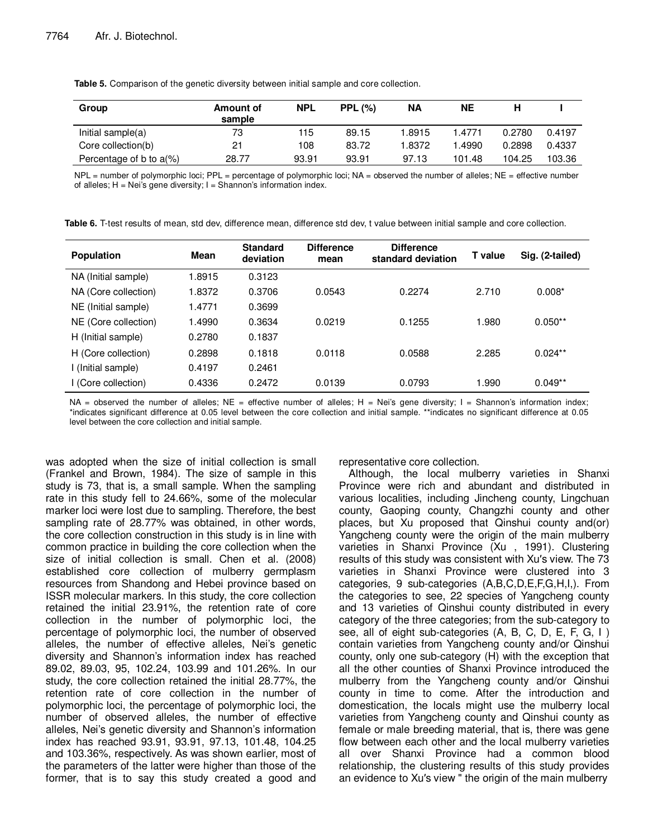**Table 5.** Comparison of the genetic diversity between initial sample and core collection.

| Group                   | Amount of<br>sample | <b>NPL</b> | <b>PPL (%)</b> | ΝA     | NΕ     |        |        |
|-------------------------|---------------------|------------|----------------|--------|--------|--------|--------|
| Initial sample(a)       | 73                  | 115        | 89.15          | 1.8915 | 1.4771 | 0.2780 | 0.4197 |
| Core collection(b)      | 21                  | 108        | 83.72          | 1.8372 | .4990  | 0.2898 | 0.4337 |
| Percentage of b to a(%) | 28.77               | 93.91      | 93.91          | 97.13  | 101.48 | 104.25 | 103.36 |

NPL = number of polymorphic loci; PPL = percentage of polymorphic loci; NA = observed the number of alleles; NE = effective number of alleles;  $H = Nei's$  gene diversity;  $I = Shannon's$  information index.

| <b>Population</b>    | Mean   | <b>Standard</b><br>deviation | <b>Difference</b><br>mean | <b>Difference</b><br>standard deviation | T value | Sig. (2-tailed) |
|----------------------|--------|------------------------------|---------------------------|-----------------------------------------|---------|-----------------|
| NA (Initial sample)  | 1.8915 | 0.3123                       |                           |                                         |         |                 |
| NA (Core collection) | 1.8372 | 0.3706                       | 0.0543                    | 0.2274                                  | 2.710   | $0.008*$        |
| NE (Initial sample)  | 1.4771 | 0.3699                       |                           |                                         |         |                 |
| NE (Core collection) | 1.4990 | 0.3634                       | 0.0219                    | 0.1255                                  | 1.980   | $0.050**$       |
| H (Initial sample)   | 0.2780 | 0.1837                       |                           |                                         |         |                 |
| H (Core collection)  | 0.2898 | 0.1818                       | 0.0118                    | 0.0588                                  | 2.285   | $0.024**$       |
| I (Initial sample)   | 0.4197 | 0.2461                       |                           |                                         |         |                 |
| I (Core collection)  | 0.4336 | 0.2472                       | 0.0139                    | 0.0793                                  | 1.990   | $0.049**$       |

**Table 6.** T-test results of mean, std dev, difference mean, difference std dev, t value between initial sample and core collection.

 $NA =$  observed the number of alleles;  $NE =$  effective number of alleles;  $H =$  Nei's gene diversity;  $I =$  Shannon's information index; \*indicates significant difference at 0.05 level between the core collection and initial sample. \*\*indicates no significant difference at 0.05 level between the core collection and initial sample.

was adopted when the size of initial collection is small (Frankel and Brown, 1984). The size of sample in this study is 73, that is, a small sample. When the sampling rate in this study fell to 24.66%, some of the molecular marker loci were lost due to sampling. Therefore, the best sampling rate of 28.77% was obtained, in other words, the core collection construction in this study is in line with common practice in building the core collection when the size of initial collection is small. Chen et al. (2008) established core collection of mulberry germplasm resources from Shandong and Hebei province based on ISSR molecular markers. In this study, the core collection retained the initial 23.91%, the retention rate of core collection in the number of polymorphic loci, the percentage of polymorphic loci, the number of observed alleles, the number of effective alleles, Nei's genetic diversity and Shannon's information index has reached 89.02, 89.03, 95, 102.24, 103.99 and 101.26%. In our study, the core collection retained the initial 28.77%, the retention rate of core collection in the number of polymorphic loci, the percentage of polymorphic loci, the number of observed alleles, the number of effective alleles, Nei's genetic diversity and Shannon's information index has reached 93.91, 93.91, 97.13, 101.48, 104.25 and 103.36%, respectively. As was shown earlier, most of the parameters of the latter were higher than those of the former, that is to say this study created a good and representative core collection.

Although, the local mulberry varieties in Shanxi Province were rich and abundant and distributed in various localities, including Jincheng county, Lingchuan county, Gaoping county, Changzhi county and other places, but Xu proposed that Qinshui county and(or) Yangcheng county were the origin of the main mulberry varieties in Shanxi Province (Xu , 1991). Clustering results of this study was consistent with Xu′s view. The 73 varieties in Shanxi Province were clustered into 3 categories, 9 sub-categories (A,B,C,D,E,F,G,H,I,). From the categories to see, 22 species of Yangcheng county and 13 varieties of Qinshui county distributed in every category of the three categories; from the sub-category to see, all of eight sub-categories (A, B, C, D, E, F, G, I ) contain varieties from Yangcheng county and/or Qinshui county, only one sub-category (H) with the exception that all the other counties of Shanxi Province introduced the mulberry from the Yangcheng county and/or Qinshui county in time to come. After the introduction and domestication, the locals might use the mulberry local varieties from Yangcheng county and Qinshui county as female or male breeding material, that is, there was gene flow between each other and the local mulberry varieties all over Shanxi Province had a common blood relationship, the clustering results of this study provides an evidence to Xu′s view " the origin of the main mulberry